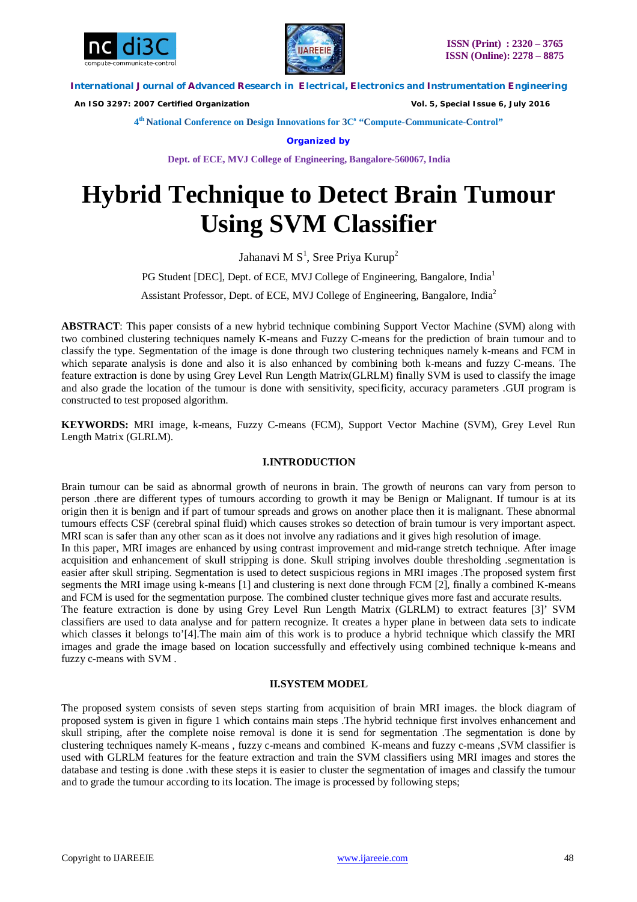



 *An ISO 3297: 2007 Certified Organization Vol. 5, Special Issue 6, July 2016*

**4 th National Conference on Design Innovations for 3C s "Compute-Communicate-Control"** 

**Organized by**

**Dept. of ECE, MVJ College of Engineering, Bangalore-560067, India**

# **Hybrid Technique to Detect Brain Tumour Using SVM Classifier**

Jahanavi M $S^1$ , Sree Priya Kurup<sup>2</sup>

PG Student [DEC], Dept. of ECE, MVJ College of Engineering, Bangalore, India<sup>1</sup>

Assistant Professor, Dept. of ECE, MVJ College of Engineering, Bangalore, India<sup>2</sup>

**ABSTRACT**: This paper consists of a new hybrid technique combining Support Vector Machine (SVM) along with two combined clustering techniques namely K-means and Fuzzy C-means for the prediction of brain tumour and to classify the type. Segmentation of the image is done through two clustering techniques namely k-means and FCM in which separate analysis is done and also it is also enhanced by combining both k-means and fuzzy C-means. The feature extraction is done by using Grey Level Run Length Matrix(GLRLM) finally SVM is used to classify the image and also grade the location of the tumour is done with sensitivity, specificity, accuracy parameters .GUI program is constructed to test proposed algorithm.

**KEYWORDS:** MRI image, k-means, Fuzzy C-means (FCM), Support Vector Machine (SVM), Grey Level Run Length Matrix (GLRLM).

# **I.INTRODUCTION**

Brain tumour can be said as abnormal growth of neurons in brain. The growth of neurons can vary from person to person .there are different types of tumours according to growth it may be Benign or Malignant. If tumour is at its origin then it is benign and if part of tumour spreads and grows on another place then it is malignant. These abnormal tumours effects CSF (cerebral spinal fluid) which causes strokes so detection of brain tumour is very important aspect. MRI scan is safer than any other scan as it does not involve any radiations and it gives high resolution of image.

In this paper, MRI images are enhanced by using contrast improvement and mid-range stretch technique. After image acquisition and enhancement of skull stripping is done. Skull striping involves double thresholding .segmentation is easier after skull striping. Segmentation is used to detect suspicious regions in MRI images .The proposed system first segments the MRI image using k-means [1] and clustering is next done through FCM [2], finally a combined K-means and FCM is used for the segmentation purpose. The combined cluster technique gives more fast and accurate results.

The feature extraction is done by using Grey Level Run Length Matrix (GLRLM) to extract features [3]' SVM classifiers are used to data analyse and for pattern recognize. It creates a hyper plane in between data sets to indicate which classes it belongs to'[4]. The main aim of this work is to produce a hybrid technique which classify the MRI images and grade the image based on location successfully and effectively using combined technique k-means and fuzzy c-means with SVM .

# **II.SYSTEM MODEL**

The proposed system consists of seven steps starting from acquisition of brain MRI images. the block diagram of proposed system is given in figure 1 which contains main steps .The hybrid technique first involves enhancement and skull striping, after the complete noise removal is done it is send for segmentation .The segmentation is done by clustering techniques namely K-means , fuzzy c-means and combined K-means and fuzzy c-means ,SVM classifier is used with GLRLM features for the feature extraction and train the SVM classifiers using MRI images and stores the database and testing is done .with these steps it is easier to cluster the segmentation of images and classify the tumour and to grade the tumour according to its location. The image is processed by following steps;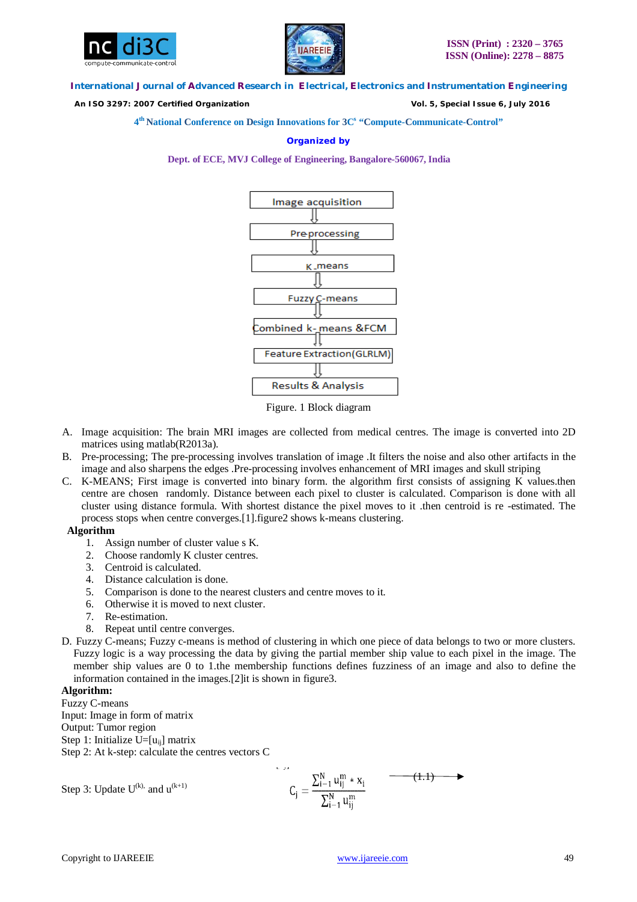



 *An ISO 3297: 2007 Certified Organization Vol. 5, Special Issue 6, July 2016*

**4 th National Conference on Design Innovations for 3C s "Compute-Communicate-Control"** 

# **Organized by**

**Dept. of ECE, MVJ College of Engineering, Bangalore-560067, India**



Figure. 1 Block diagram

- A. Image acquisition: The brain MRI images are collected from medical centres. The image is converted into 2D matrices using matlab(R2013a).
- B. Pre-processing; The pre-processing involves translation of image .It filters the noise and also other artifacts in the image and also sharpens the edges .Pre-processing involves enhancement of MRI images and skull striping
- C. K-MEANS; First image is converted into binary form. the algorithm first consists of assigning K values.then centre are chosen randomly. Distance between each pixel to cluster is calculated. Comparison is done with all cluster using distance formula. With shortest distance the pixel moves to it .then centroid is re -estimated. The process stops when centre converges.[1].figure2 shows k-means clustering.

# **Algorithm**

- 1. Assign number of cluster value s K.
- 2. Choose randomly K cluster centres.
- 3. Centroid is calculated.
- 4. Distance calculation is done.
- 5. Comparison is done to the nearest clusters and centre moves to it.
- 6. Otherwise it is moved to next cluster.
- 7. Re-estimation.
- 8. Repeat until centre converges.
- D. Fuzzy C-means; Fuzzy c-means is method of clustering in which one piece of data belongs to two or more clusters. Fuzzy logic is a way processing the data by giving the partial member ship value to each pixel in the image. The member ship values are 0 to 1.the membership functions defines fuzziness of an image and also to define the information contained in the images.[2]it is shown in figure3.

# **Algorithm:**

Fuzzy C-means Input: Image in form of matrix Output: Tumor region Step 1: Initialize  $U=[u_{ii}]$  matrix Step 2: At k-step: calculate the centres vectors C

Step 3: Update U<sup>(k)</sup>, and u<sup>(k+1)</sup> 
$$
C_j = \frac{\sum_{i=1}^{N} u_{ij}^m * x_i}{\sum_{i=1}^{N} u_{ij}^m}
$$
 (1.1)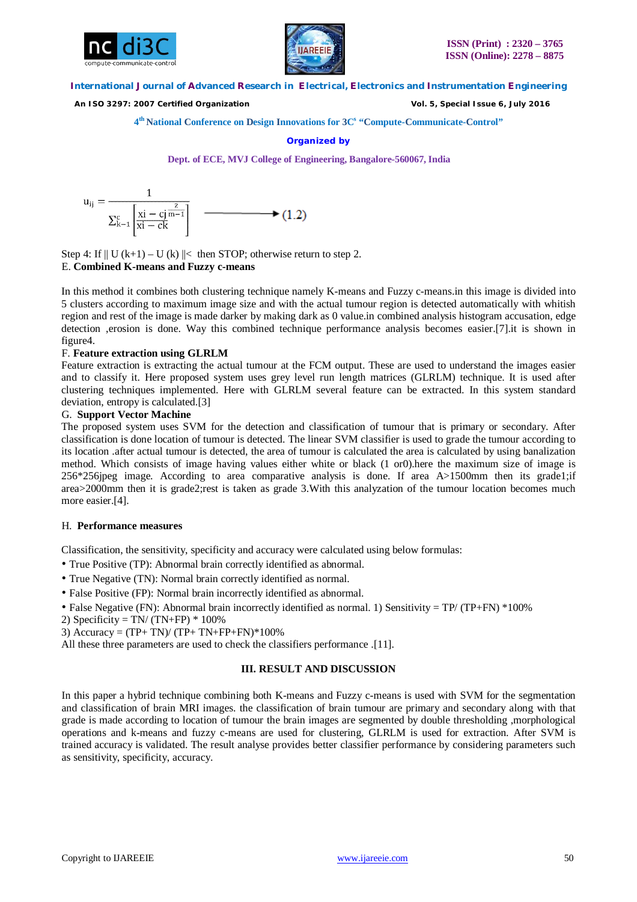



 *An ISO 3297: 2007 Certified Organization Vol. 5, Special Issue 6, July 2016*

**4 th National Conference on Design Innovations for 3C s "Compute-Communicate-Control"** 

### **Organized by**

**Dept. of ECE, MVJ College of Engineering, Bangalore-560067, India**

$$
u_{ij} = \frac{1}{\sum_{k=1}^{c} \left[ \frac{xi - cj^{\frac{2}{m-1}}}{xi - ck} \right]}
$$
 (1.2)

Step 4: If  $|| U (k+1) – U (k) ||<$  then STOP; otherwise return to step 2. E. **Combined K-means and Fuzzy c-means**

In this method it combines both clustering technique namely K-means and Fuzzy c-means.in this image is divided into

5 clusters according to maximum image size and with the actual tumour region is detected automatically with whitish region and rest of the image is made darker by making dark as 0 value.in combined analysis histogram accusation, edge detection ,erosion is done. Way this combined technique performance analysis becomes easier.[7].it is shown in figure4.

# F. **Feature extraction using GLRLM**

Feature extraction is extracting the actual tumour at the FCM output. These are used to understand the images easier and to classify it. Here proposed system uses grey level run length matrices (GLRLM) technique. It is used after clustering techniques implemented. Here with GLRLM several feature can be extracted. In this system standard deviation, entropy is calculated.[3]

# G. **Support Vector Machine**

The proposed system uses SVM for the detection and classification of tumour that is primary or secondary. After classification is done location of tumour is detected. The linear SVM classifier is used to grade the tumour according to its location .after actual tumour is detected, the area of tumour is calculated the area is calculated by using banalization method. Which consists of image having values either white or black (1 or0).here the maximum size of image is 256\*256jpeg image. According to area comparative analysis is done. If area A>1500mm then its grade1;if area>2000mm then it is grade2;rest is taken as grade 3.With this analyzation of the tumour location becomes much more easier.[4].

# H. **Performance measures**

Classification, the sensitivity, specificity and accuracy were calculated using below formulas:

- True Positive (TP): Abnormal brain correctly identified as abnormal.
- True Negative (TN): Normal brain correctly identified as normal.
- False Positive (FP): Normal brain incorrectly identified as abnormal.
- False Negative (FN): Abnormal brain incorrectly identified as normal. 1) Sensitivity =  $TP/ (TP+FN) *100\%$
- 2) Specificity = TN/  $(TN+FP) * 100\%$
- 3)  $Accuracy = (TP + TN)/(TP + TN + FP + FN) * 100%$

All these three parameters are used to check the classifiers performance .[11].

# **III. RESULT AND DISCUSSION**

In this paper a hybrid technique combining both K-means and Fuzzy c-means is used with SVM for the segmentation and classification of brain MRI images. the classification of brain tumour are primary and secondary along with that grade is made according to location of tumour the brain images are segmented by double thresholding ,morphological operations and k-means and fuzzy c-means are used for clustering, GLRLM is used for extraction. After SVM is trained accuracy is validated. The result analyse provides better classifier performance by considering parameters such as sensitivity, specificity, accuracy.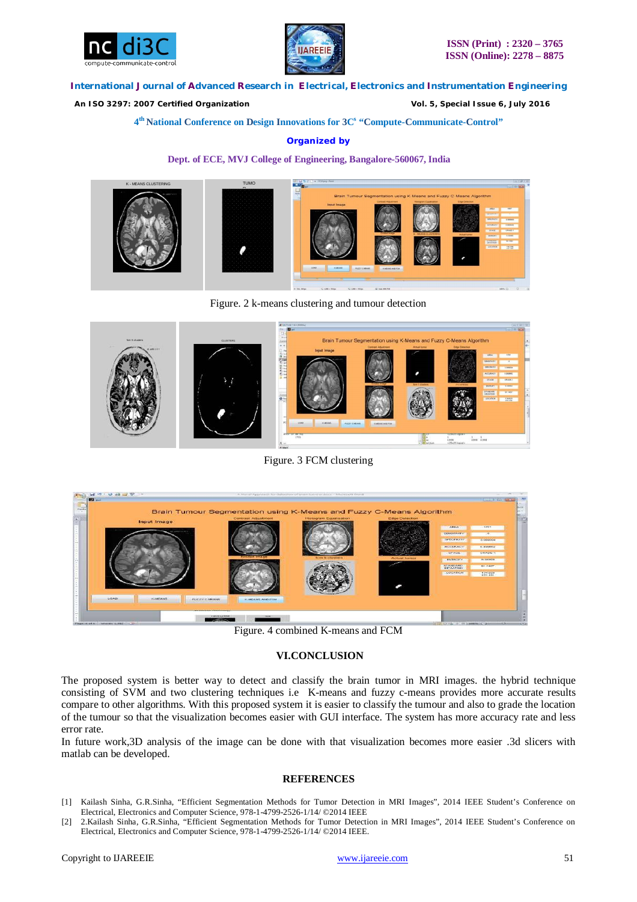



 *An ISO 3297: 2007 Certified Organization Vol. 5, Special Issue 6, July 2016*

**4 th National Conference on Design Innovations for 3C s "Compute-Communicate-Control"** 

# **Organized by**

#### **Dept. of ECE, MVJ College of Engineering, Bangalore-560067, India**



Figure. 2 k-means clustering and tumour detection



Figure. 3 FCM clustering



Figure. 4 combined K-means and FCM

# **VI.CONCLUSION**

The proposed system is better way to detect and classify the brain tumor in MRI images. the hybrid technique consisting of SVM and two clustering techniques i.e K-means and fuzzy c-means provides more accurate results compare to other algorithms. With this proposed system it is easier to classify the tumour and also to grade the location of the tumour so that the visualization becomes easier with GUI interface. The system has more accuracy rate and less error rate.

In future work,3D analysis of the image can be done with that visualization becomes more easier .3d slicers with matlab can be developed.

### **REFERENCES**

- [1] Kailash Sinha, G.R.Sinha, "Efficient Segmentation Methods for Tumor Detection in MRI Images", 2014 IEEE Student's Conference on Electrical, Electronics and Computer Science, 978-1-4799-2526-1/14/ ©2014 IEEE
- [2] 2.Kailash Sinha, G.R.Sinha, "Efficient Segmentation Methods for Tumor Detection in MRI Images", 2014 IEEE Student's Conference on Electrical, Electronics and Computer Science, 978-1-4799-2526-1/14/ ©2014 IEEE.